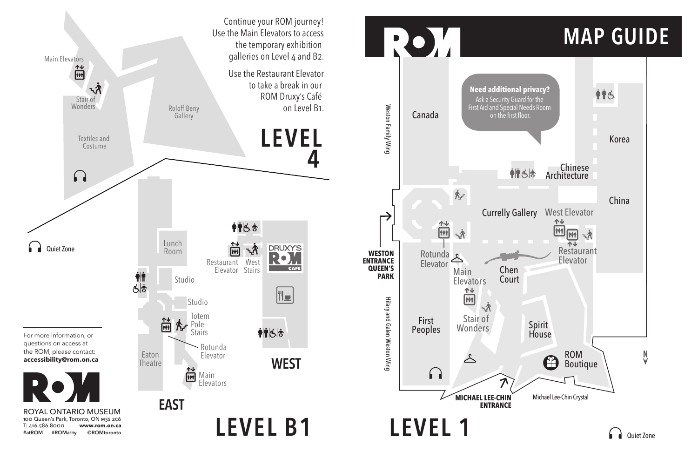

## MAP GUIDE